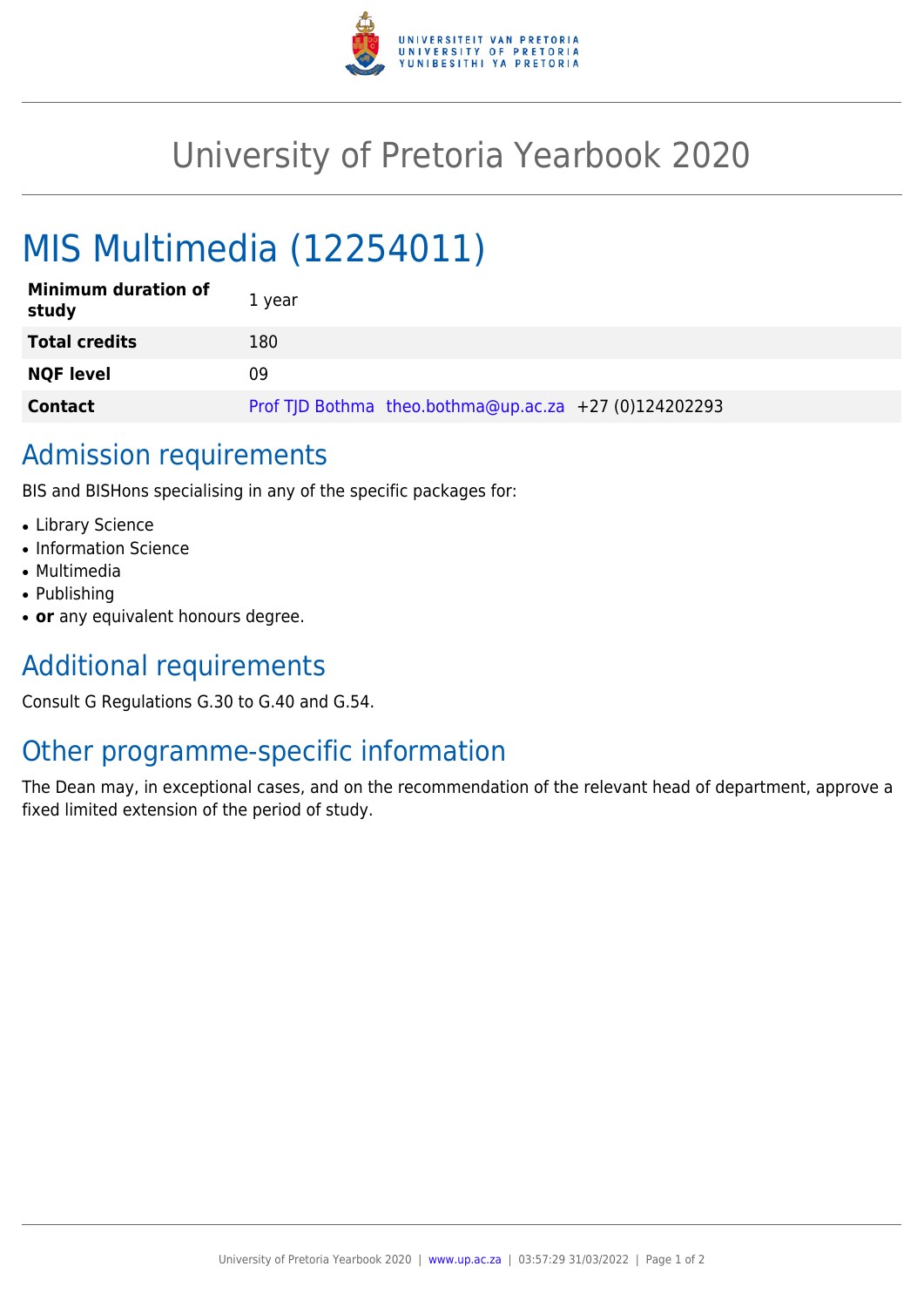

## University of Pretoria Yearbook 2020

# MIS Multimedia (12254011)

| <b>Minimum duration of</b><br>study | 1 year                                                |
|-------------------------------------|-------------------------------------------------------|
| <b>Total credits</b>                | 180                                                   |
| <b>NQF level</b>                    | 09                                                    |
| <b>Contact</b>                      | Prof TJD Bothma theo.bothma@up.ac.za +27 (0)124202293 |

#### Admission requirements

BIS and BISHons specialising in any of the specific packages for:

- Library Science
- Information Science
- Multimedia
- Publishing
- or any equivalent honours degree.

## Additional requirements

Consult G Regulations G.30 to G.40 and G.54.

#### Other programme-specific information

The Dean may, in exceptional cases, and on the recommendation of the relevant head of department, approve a fixed limited extension of the period of study.